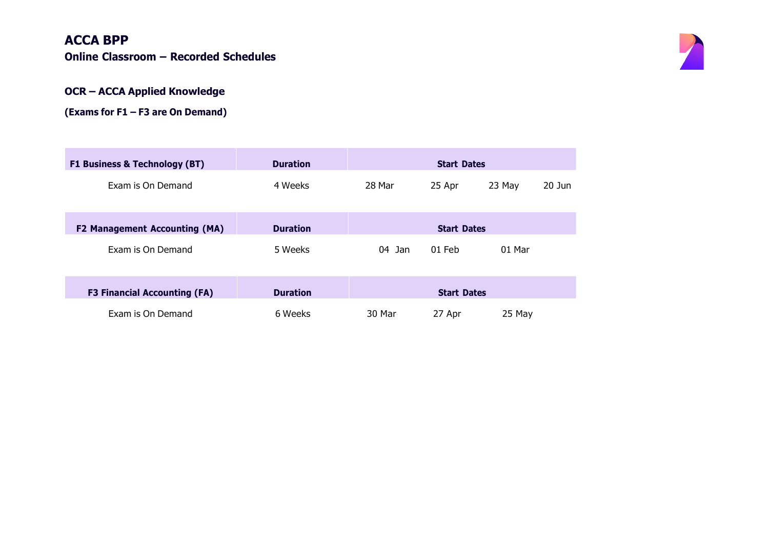### **ACCA BPP**

**Online Classroom – Recorded Schedules**



#### **OCR – ACCA Applied Knowledge**

**(Exams for F1 – F3 are On Demand)**

| <b>F1 Business &amp; Technology (BT)</b> | <b>Duration</b> | <b>Start Dates</b> |          |        |          |
|------------------------------------------|-----------------|--------------------|----------|--------|----------|
| Exam is On Demand                        | 4 Weeks         | 28 Mar             | 25 Apr   | 23 May | $20$ Jun |
|                                          |                 |                    |          |        |          |
| <b>F2 Management Accounting (MA)</b>     | <b>Duration</b> | <b>Start Dates</b> |          |        |          |
| Exam is On Demand                        | 5 Weeks         | Jan<br>04          | $01$ Feb | 01 Mar |          |
|                                          |                 |                    |          |        |          |
| <b>F3 Financial Accounting (FA)</b>      | <b>Duration</b> | <b>Start Dates</b> |          |        |          |
| Exam is On Demand                        | 6 Weeks         | 30 Mar             | 27 Apr   | 25 May |          |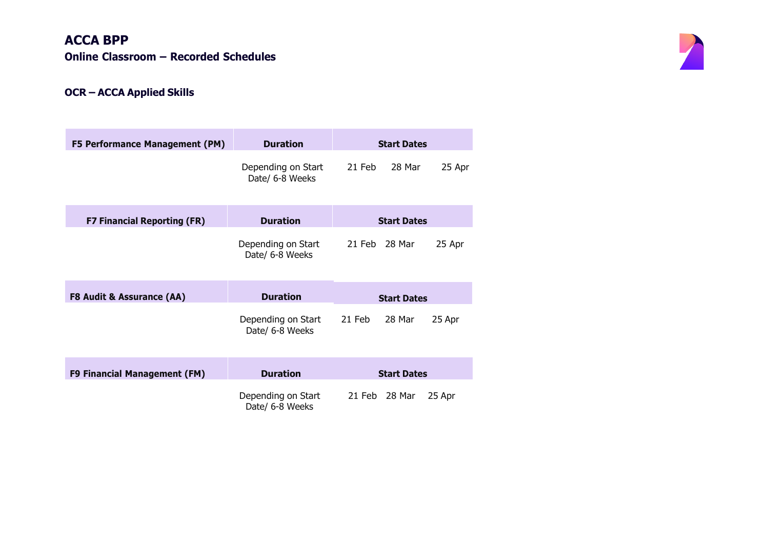# **ACCA BPP Online Classroom – Recorded Schedules**



### **OCR – ACCA Applied Skills**

| <b>F5 Performance Management (PM)</b> | <b>Duration</b>                       | <b>Start Dates</b> |        |        |
|---------------------------------------|---------------------------------------|--------------------|--------|--------|
|                                       | Depending on Start<br>Date/ 6-8 Weeks | 21 Feb             | 28 Mar | 25 Apr |
| <b>F7 Financial Reporting (FR)</b>    | <b>Duration</b>                       | <b>Start Dates</b> |        |        |
|                                       | Depending on Start<br>Date/ 6-8 Weeks | 21 Feb 28 Mar      |        | 25 Apr |
| <b>F8 Audit &amp; Assurance (AA)</b>  | <b>Duration</b>                       | <b>Start Dates</b> |        |        |
|                                       | Depending on Start<br>Date/ 6-8 Weeks | 21 Feb             | 28 Mar | 25 Apr |
| F9 Financial Management (FM)          | <b>Duration</b>                       | <b>Start Dates</b> |        |        |
|                                       | Depending on Start<br>Date/ 6-8 Weeks | 21 Feb 28 Mar      |        | 25 Apr |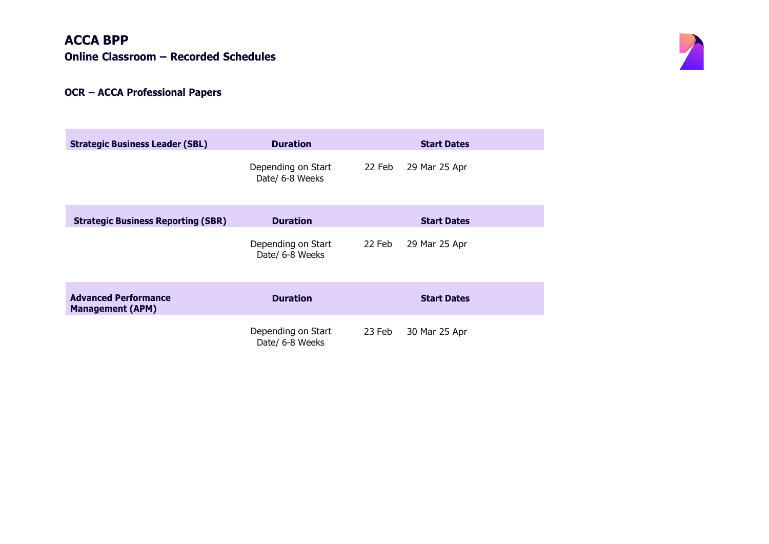# **ACCA BPP**

**Online Classroom – Recorded Schedules**

### **OCR – ACCA Professional Papers**

| <b>Strategic Business Leader (SBL)</b>                 | <b>Duration</b>                       |        | <b>Start Dates</b> |
|--------------------------------------------------------|---------------------------------------|--------|--------------------|
|                                                        | Depending on Start<br>Date/ 6-8 Weeks | 22 Feb | 29 Mar 25 Apr      |
| <b>Strategic Business Reporting (SBR)</b>              | <b>Duration</b>                       |        | <b>Start Dates</b> |
|                                                        | Depending on Start<br>Date/ 6-8 Weeks | 22 Feb | 29 Mar 25 Apr      |
| <b>Advanced Performance</b><br><b>Management (APM)</b> | <b>Duration</b>                       |        | <b>Start Dates</b> |
|                                                        | Depending on Start<br>Date/ 6-8 Weeks | 23 Feb | 30 Mar 25 Apr      |